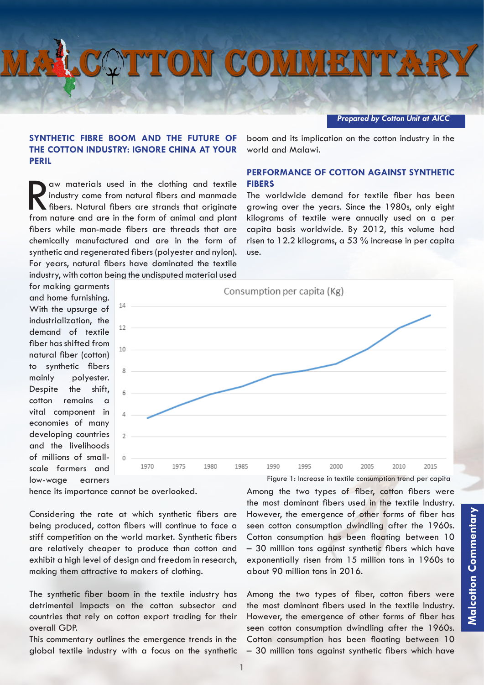## **OTTON COMMENTARY**

## *Prepared by Cotton Unit at AICC*

boom and its implication on the cotton industry in the

**PERFORMANCE OF COTTON AGAINST SYNTHETIC** 

The worldwide demand for textile fiber has been growing over the years. Since the 1980s, only eight kilograms of textile were annually used on a per capita basis worldwide. By 2012, this volume had risen to 12.2 kilograms, a 53 % increase in per capita

## **SYNTHETIC FIBRE BOOM AND THE FUTURE OF THE COTTON INDUSTRY: IGNORE CHINA AT YOUR PERIL**

aw materials used in the clothing and textile<br>industry come from natural fibers and manmade<br>fibers. Natural fibers are strands that originate<br>from nature and are in the form of animal and plant industry come from natural fibers and manmade fibers. Natural fibers are strands that originate from nature and are in the form of animal and plant fibers while man-made fibers are threads that are chemically manufactured and are in the form of synthetic and regenerated fibers (polyester and nylon). For years, natural fibers have dominated the textile industry, with cotton being the undisputed material used

for making garments and home furnishing. With the upsurge of industrialization, the demand of textile fiber has shifted from natural fiber (cotton) to synthetic fibers mainly polyester. Despite the shift, cotton remains a vital component in economies of many developing countries and the livelihoods of millions of smallscale farmers and low-wage earners



world and Malawi.

**FIBERS**

use.

hence its importance cannot be overlooked.

Considering the rate at which synthetic fibers are being produced, cotton fibers will continue to face a stiff competition on the world market. Synthetic fibers are relatively cheaper to produce than cotton and exhibit a high level of design and freedom in research, making them attractive to makers of clothing.

The synthetic fiber boom in the textile industry has detrimental impacts on the cotton subsector and countries that rely on cotton export trading for their overall GDP.

This commentary outlines the emergence trends in the global textile industry with a focus on the synthetic Among the two types of fiber, cotton fibers were the most dominant fibers used in the textile Industry. However, the emergence of other forms of fiber has seen cotton consumption dwindling after the 1960s. Cotton consumption has been floating between 10 – 30 million tons against synthetic fibers which have exponentially risen from 15 million tons in 1960s to about 90 million tons in 2016.

Among the two types of fiber, cotton fibers were the most dominant fibers used in the textile Industry. However, the emergence of other forms of fiber has seen cotton consumption dwindling after the 1960s. Cotton consumption has been floating between 10 – 30 million tons against synthetic fibers which have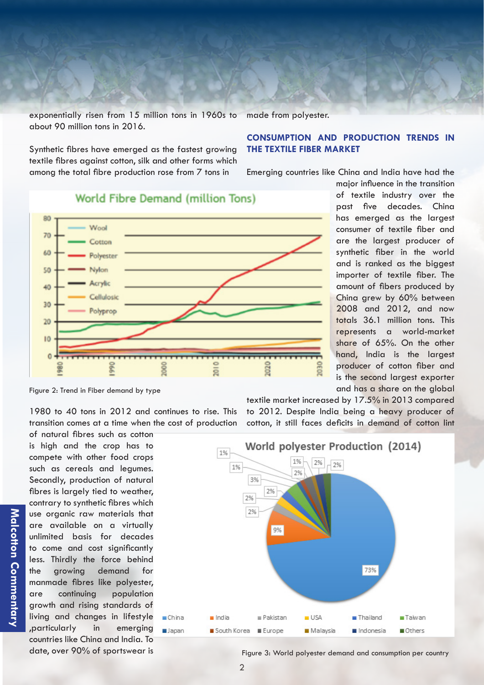exponentially risen from 15 million tons in 1960s to about 90 million tons in 2016. made from polyester.

> **CONSUMPTION AND PRODUCTION TRENDS IN THE TEXTILE FIBER MARKET**

Synthetic fibres have emerged as the fastest growing textile fibres against cotton, silk and other forms which among the total fibre production rose from 7 tons in

Emerging countries like China and India have had the

80 Wool 70 Cotton 60 Polyester 50 Nylon Acrylic 40 Cellulosic  $30$ Polyprop 20  $10$  $\Omega$  $\overline{a}$ 

**World Fibre Demand (million Tons)** 

1980 to 40 tons in 2012 and continues to rise. This transition comes at a time when the cost of production

of natural fibres such as cotton is high and the crop has to compete with other food crops such as cereals and legumes. Secondly, production of natural fibres is largely tied to weather, contrary to synthetic fibres which use organic raw materials that are available on a virtually unlimited basis for decades to come and cost significantly less. Thirdly the force behind the growing demand for manmade fibres like polyester, are continuing population growth and rising standards of living and changes in lifestyle ,particularly in emerging countries like China and India. To date, over 90% of sportswear is

textile market increased by 17.5% in 2013 compared to 2012. Despite India being a heavy producer of cotton, it still faces deficits in demand of cotton lint



Figure 3: World polyester demand and consumption per country

major influence in the transition of textile industry over the past five decades. China has emerged as the largest consumer of textile fiber and are the largest producer of synthetic fiber in the world and is ranked as the biggest importer of textile fiber. The amount of fibers produced by China grew by 60% between 2008 and 2012, and now totals 36.1 million tons. This represents a world-market share of 65%. On the other hand, India is the largest producer of cotton fiber and is the second largest exporter and has a share on the global

Figure 2: Trend in Fiber demand by type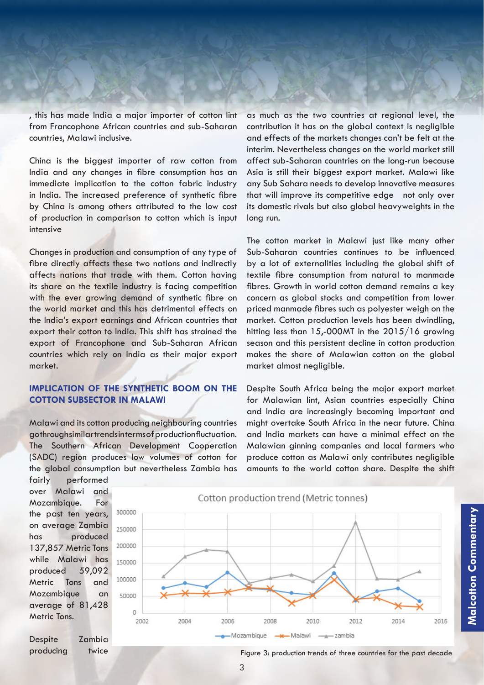, this has made India a major importer of cotton lint from Francophone African countries and sub-Saharan countries, Malawi inclusive.

China is the biggest importer of raw cotton from India and any changes in fibre consumption has an immediate implication to the cotton fabric industry in India. The increased preference of synthetic fibre by China is among others attributed to the low cost of production in comparison to cotton which is input intensive

Changes in production and consumption of any type of fibre directly affects these two nations and indirectly affects nations that trade with them. Cotton having its share on the textile industry is facing competition with the ever growing demand of synthetic fibre on the world market and this has detrimental effects on the India's export earnings and African countries that export their cotton to India. This shift has strained the export of Francophone and Sub-Saharan African countries which rely on India as their major export market.

## **IMPLICATION OF THE SYNTHETIC BOOM ON THE COTTON SUBSECTOR IN MALAWI**

Malawi and its cotton producing neighbouring countries go through similar trends in terms of production fluctuation. The Southern African Development Cooperation (SADC) region produces low volumes of cotton for the global consumption but nevertheless Zambia has as much as the two countries at regional level, the contribution it has on the global context is negligible and effects of the markets changes can't be felt at the interim. Nevertheless changes on the world market still affect sub-Saharan countries on the long-run because Asia is still their biggest export market. Malawi like any Sub Sahara needs to develop innovative measures that will improve its competitive edge not only over its domestic rivals but also global heavyweights in the long run.

The cotton market in Malawi just like many other Sub-Saharan countries continues to be influenced by a lot of externalities including the global shift of textile fibre consumption from natural to manmade fibres. Growth in world cotton demand remains a key concern as global stocks and competition from lower priced manmade fibres such as polyester weigh on the market. Cotton production levels has been dwindling, hitting less than 15,-000MT in the 2015/16 growing season and this persistent decline in cotton production makes the share of Malawian cotton on the global market almost negligible.

Despite South Africa being the major export market for Malawian lint, Asian countries especially China and India are increasingly becoming important and might overtake South Africa in the near future. China and India markets can have a minimal effect on the Malawian ginning companies and local farmers who produce cotton as Malawi only contributes negligible amounts to the world cotton share. Despite the shift

fairly performed over Malawi and Mozambique. For the past ten years, on average Zambia has produced 137,857 Metric Tons while Malawi has produced 59,092 Metric Tons and Mozambique an average of 81,428 Metric Tons.

Despite Zambia producing twice



Figure 3: production trends of three countries for the past decade